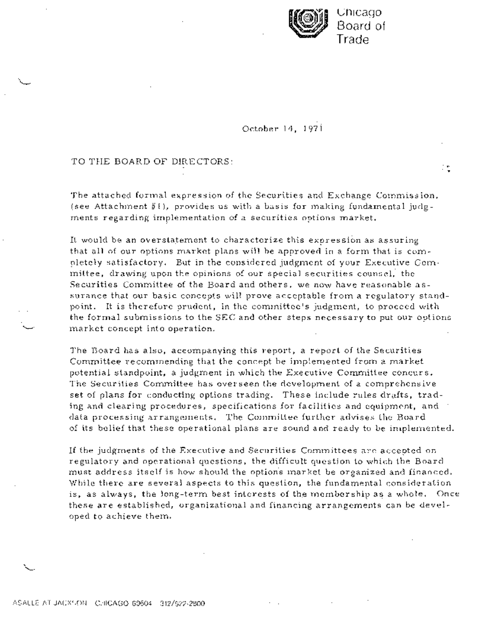

October 14, 1971

## TO THE BOARD OF DIRECTORS:

The attached formal expression of the Securities and Exchange Commission, (see Attachment  $#I$ ), provides us with a basis for making fundamental judg-.ments regarding implementation of a securities options market.

It would be an overstatement to characterize this expression as assuring that all of our options market plans will be approved in a form that is completely satisfactory. But in the considered judgment of your Executive Committee, drawing upon the opinions: of. our special securities- counsel, the Securities Committee of the Board and others, we now have reasonable assurance that our basic concepts will prove acceptable from a regulatory standpoint. It is therefore prudent., in the committee's judgment, to proceed with the formal submissions to the SEC and other steps necessary to put our options market concept into operation.

The Board has also, accompanying this report, a report of the Securities Committee recommending that the concept be implemented from a market potential standpoint, a judgment in which the Executive Committee concurs. The Securities Committee has overseen the development of a comprehensive set of plans for conducting options trading. These include rules drafts, trading and clearing procedures, specifications for facilities and equipment, and data processing arrangements. The Committee further advises the Board of its belief that these operational plans are sound and ready to be implemented.

If the judgments of the Executive and Securities Committeesare accepted on regulatory and operational questions, the difficult question to which the Board must address itself is how should the options market be organized and financed. While there are several aspects to this question, the fundamental consideration is, as always, the long-term best interests of the membership as a whole. Once these are established, organizational and financing arrangements can be developed to achieve them.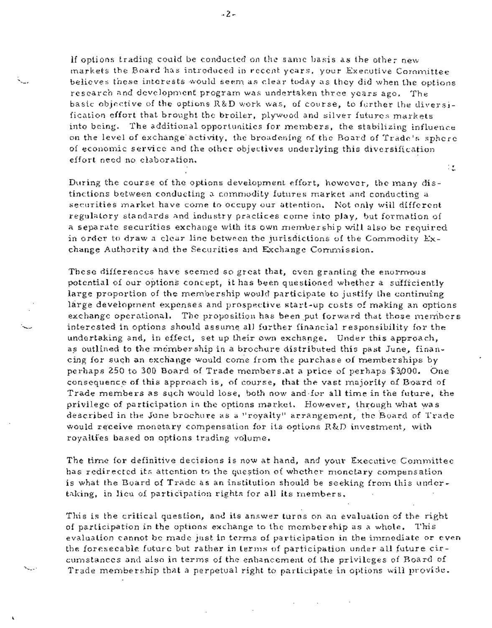If options trading could be conducted on the same basis as the other new markets the Board has introduced in recent years, your Executive Committee believes these interests would seem as clear today as they did when the options research and development program was undertaken three years ago. The basic objective of the options R&D work was, of course, to further the diversification effort that brought the broiler, plywood and silver futures markets into being. The additional opportunities for members, the stabilizing influence on the level of exchange activity, the broadening of the Board Of Trade's sphere of economic service and the other objectives underlying this diversification effort need no elaboration. ίŁ.

During the course of the options development effort, however, the many distinctions between conducting, a commodity futures market and conducting a securities market have come to occupy our attention. Not only will different regulatory standards and industry practices come into play, but formation of a separate securities exchange with its own membership will also be required in order to draw a clear line between the jurisdictions of the Commodity Exchange Authority and the Securities and Exchange Commission.

These differences have seemed so great that, even granting the enormous potential of our options concept, it has been questioned whether a sufficiently large proportion of the membership would participate to justify the continuing. large development expenses and prospective start-up costs of making an options exchange operational. The proposition has been put forward that those members interested in options should assume all further financial responsibility for the undertaking and, in effect, set up their own exchange. Under this approach, as outlined to the membership in a brochure distributed this past June, financing for such an-exchange would come from the purchase of memberships by perhaps 250 to 300 Board of Trade members.at a price of perhaps \$3,000. One consequence of this approach is, of course, that the vast majority of Board of Trade members as such would lose, both now and for all time in the future, the privilege of participation in the options market. However, through what was described in the June brochure as a "royalty" arrangement, the Board of Tradewould receive monetary compensation for its options R&D investment, with royalties based on options trading volume.

The time for definitive decisions is now at hand, and your Executive Committee has redirected its attention to the question of whether monetary compensation is what the Board of Trade as an institution should be seeking from this undertaking, in lieu of participation rights for all its members.

This is the critical question, and its answer turns on an evaluation of the right of participation in the options exchange to the membership as a whole. This evaluation cannot be made just in terms of participation in the immediate or even the foreseeable future but rather in terms of participation under all future circumstances and also in terms of the enhancement of the privileges of Board of Trade membership that a perpetual right to participate in options will provide.

L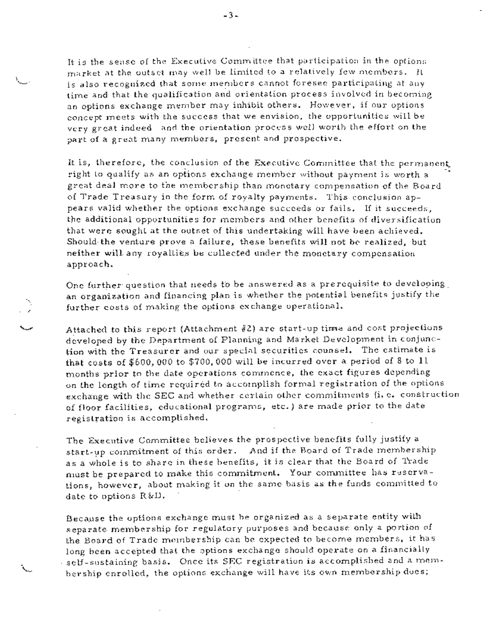It is the sense of the Executive Committee that participation in the options market at the outset may well be limited to a relatively few members. It is also recognized that some members cannot foresee participating at any time and that the qualification and orientation process involved in becoming an options exchange member may inhibit others. However, if our options concept meets with the success that we envision, the opportunities will be very great indeed and the orientation process well worth the effort on the part of a great many members, present and prospective.

It is, therefore, the conclusion of the Executive Committee that the permanent. right to qualify as an options exchange member without payment is worth a great deal more to the membership than monetary compensation of the. Board of Trade Treasury in the form of royalty payments. This conclusion appears valid whether the options exchange succeeds or fails. If it succeeds, the additional opportunities for members and other benefits of diversification that were sought at the outset of this undertaking will have been achieved. Should-the venture prove a failure, these benefits will not be realized, but. neither will any royalties be collected under the monetary compensation. approach.

One further question that needs to be answered as a prerequisite to developing. an organization and financing plan is whether the potential benefits justify the further costs of making the options exchange operational.

 $\epsilon$ 

Attached to this report (Attachment #2) are start-up time and cost projections developed by the Department of Planning and Market Development in conjunction with the Treasurer and our special securities counsel. The estimate is that costs of  $$600,000$  to  $$700,000$  will be incurred over a period of 8 to 11 months prior to the date operations commence, the exact figures depending on the length of time required to accomplish formal registration of the options exchange with the SEC and whether certain other commitments (i.e. construction of floor facilities, educational programs, etc.) are made prior to the date registration is accomplished.

The Executive Committee believes the prospective benefits fully justify a start-up commitment of this order. And if the Board of Trade membership as a whole is to share in these benefits, it is clear that the Board of Trade must be prepared to make this commitment. Your committee has reservations, however, about making it on the same basis as the funds committed to date to options. R&D.

Because the options exchange must be organized as a. separate entity with separate membership for regulatory purposes and because only a portion of the Board of Trade membership can be expected to become members, it has long-been accepted that the options exchange should operate on a financially self-sustaining basis. Once its SEC registration is accomplished and a membership enrolled, the options exchange will have its own membership dues;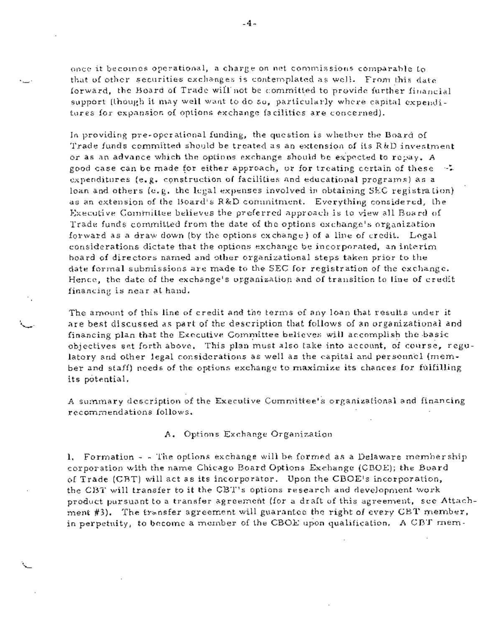once it becomes operational, a charge on net commissions comparable to that of other securities exchanges is contemplated as well. From this date forward, the Board of Trade will not be committed to provide further financial support (though it may well want to do so, particularly where capital expenditures for expansion of options exchange facilities are concerned).

In providing pre-operational funding, the question is whether the Board of Trade funds committed should be treated as an extension of its R&D investment or as an advance which the options exchange should be expected to repay. A good case can be made for either approach, or for treating certain of these  $\rightarrow$ expenditures (e.g. cgnstruction of facilities and educational programs) as a loan and others (e.g. the iegal expenses involved in obtaining SEC registration) as an extension of the Board's R&D commitment. Everything considered, the Executive Committee believes the preferred approach is to view all Board of Trade funds committed from the date of the options exchange's organization forward as a draw down (by the options exchange) of a line of credit. Legal considerations dictate that the options exchange be incorporated, an interim board of directors named and other organizational steps taken prior to the date formal submissions are made to the SEC for registration of the exchange. Hence, the date of the exchange's organization and of transition to line of credit financing is near at hand.

The amount of this line of credit and the terms of any loan that results under it are best discussed as part of the description that follows of an organizational and financing plan that the Executive Committee believes will accomplish the basic objectives set forth above. This plan must also take into account, of course, regulatory and other legal considerations as well as the capital and personnel (member and staff) needs of the options exchange to maximize its chances for fulfilling its potential.

A summary description of the Executive Committee's organizational and financing recommendations follows.

## A. Options Exchange Organization

1. Formation - - The options exchange will be formed as a Delaware-membership corporation with the name Chicago Board Options Exchange (CBOE); the Board of Trade (CBT) will act as its incorporator. Upon the CBOE's incorporation, the CBT will transfer to it the CBT's options research and development work product pursuant to a transfer agreement (for a draft of this agreement, see Attachment #3). The transfer agreement will guarantee the right of every CBT member, in perpetuity, to become a member of the CBOE upon qualification. A CBT mem-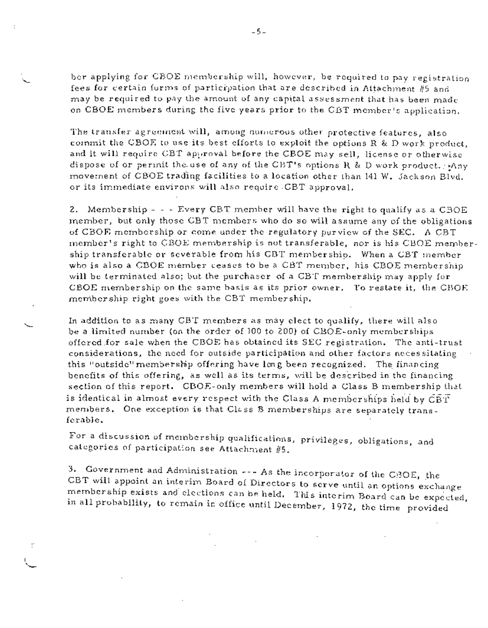ber applying for CBOE membership will, however, be required to pay registration fees for certain forms of participation that are described in Attachment  $#5$  and may be required to pay the amount of any capital assessment that has been made on CBOE members during the five years prior to the CBT member's application.

The transfer agreement will, among numerous other protective features, also commit the C BOE to use its best efforts to exploit the options R & D work product, and it will require CBT approval before the CBOE may sell, license or otherwise dispose of or permit the use of any of the CBT's options R & D work product,  $i$ Any movement of CBOE trading facilities to a location other than 141 W. Jackson Blvd. or its immediate environs will also require. CBT approval.

2. Membership  $-$  - Every CBT member will have the right to qualify as a CBOE member, but only those CBT members who do so will assume any of the obligations of CBOE membership or come under the regulatory purview of the SEC. A CBT member's right to CBOE membership is not transferable, nor is his CBOE membership transferable or severable from his CBT membership. When a CBT member who is also a CBOE member ceases to be a CBT member, his CBOE membership will be terminated also; but the purchaser of a CBT membership may apply for CBOE membership on the same basis as its prior owner. To restate it, the CBOE membership right goes with the CBT membership.

In addition to as many CBT members as may elect to qualify, there will also be a limited number (on the order of 100 to Z00) of CBOE-only memberships offered for sale when the CBOE has obtained its SEC registration. The anti-trust considerations, the need for outside participation and other factors necessitating this "outside" membership offering have long been recognized. The financing benefits of this offering, as well as its terms, will be described in the financing section of this report. CBOE-only members will hold a Class B membership that is identical in almost every respect with the Class A memberships held by  $\tilde{\tt GBT}$ members. One exception is that Class B memberships are separately transferab]e.

For a discussion of membership qualifications, privileges, obligations, and categories of participation see Attachment  $#5$ .

3. Government and Administration --- As the incorporator of the GBOE, the CBT will appoint an interim Board of Directors to serve until an options exchange membership exists and elections can be held. This interim Board can be expected, in all probability, to remain in office until December, 197Z, the time provided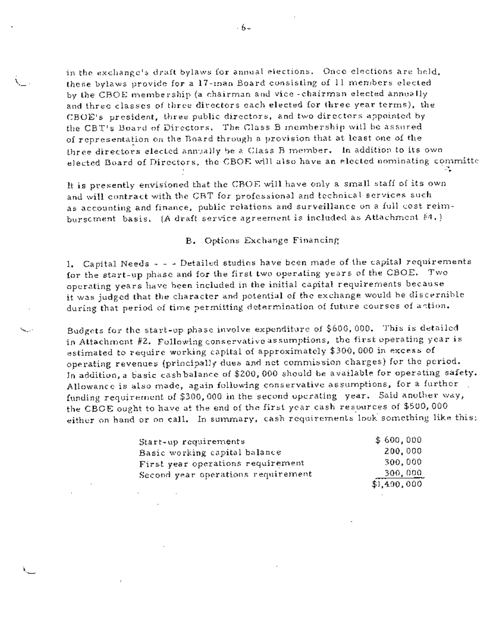in the exchange's draft bylaws for annual elections. Once elections are held, these bylaws provide for a 17-man Board consisting of 11 members elected by the CBOE membership (a chairman and vice-chairman elected annually and three classes of three directors each elected for three year terms), the CBOE's president, three public directors, and two directors appointed by the CBT's Board of Directors. The Class B membership will be assured of representation on the Board through a provision that at least one of the three directors elected annually be a Class B member. In addition to its own elected Board of Directors, the CBOE will also have an elected nominating committe

It is presently envisioned that the CBOE will have only a small staff of its own and will contract with the CBT for professional and technical services such as accounting and finance, public relations and surveillance on a full cost reimbursement basis. (A draft service agreement is included as Attachment  $#4.$ )

## B. Options Exchange Financing

I. Capital Needs - - - Detailed studies have been made of the capital requirements for the start-up phase and for the first two operating years of the CBOE. Two operating years have been included in the initial capitaI requirements because it was judged that the character and potential of the exchange would be discernible during that period of time permitting determination of future courses of antion.

Budgets for the start-up phase involve expenditure of \$600,000. This is detailed in Attachment #2. Foliowingconservatiweassumptions, the first operating year is estimated to require Working capital of approximately \$300,000 in excess of operating revenues (principally dues and net commission charges) for the period. In addition, a basic cashbalance of \$200,000 should be available for operating safety. Allowance is also made, again following conservative assumptions, for a further funding requirement of \$300,000 in the second operating year. Said another way, the CBOE ought to have at the end of the first year cash resources of \$500,000 either on hand or on call. In summary, cash requirements look something like this:

| Start-up requirements              | \$600,000   |
|------------------------------------|-------------|
| Basic working capital balance      | 200,000     |
| First year operations requirement  | 300.000     |
| Second year operations requirement | 300,000     |
|                                    | \$1,490,000 |